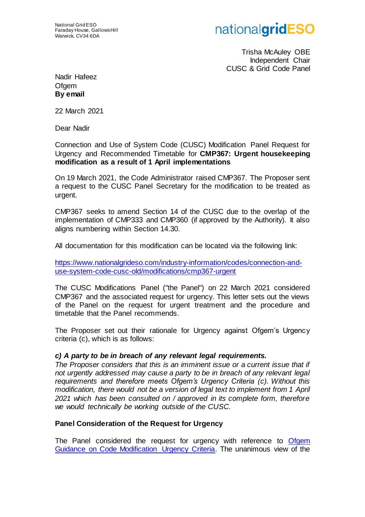## nationalgridESO

Trisha McAuley OBE Independent Chair CUSC & Grid Code Panel

Nadir Hafeez Ofgem **By email**

22 March 2021

Dear Nadir

Connection and Use of System Code (CUSC) Modification Panel Request for Urgency and Recommended Timetable for **CMP367: Urgent housekeeping modification as a result of 1 April implementations**

On 19 March 2021, the Code Administrator raised CMP367. The Proposer sent a request to the CUSC Panel Secretary for the modification to be treated as urgent.

CMP367 seeks to amend Section 14 of the CUSC due to the overlap of the implementation of CMP333 and CMP360 (if approved by the Authority). It also aligns numbering within Section 14.30.

All documentation for this modification can be located via the following link:

[https://www.nationalgrideso.com/industry-information/codes/connection-and](https://www.nationalgrideso.com/industry-information/codes/connection-and-use-system-code-cusc-old/modifications/cmp367-urgent)[use-system-code-cusc-old/modifications/cmp367-urgent](https://www.nationalgrideso.com/industry-information/codes/connection-and-use-system-code-cusc-old/modifications/cmp367-urgent)

The CUSC Modifications Panel ("the Panel") on 22 March 2021 considered CMP367 and the associated request for urgency. This letter sets out the views of the Panel on the request for urgent treatment and the procedure and timetable that the Panel recommends.

The Proposer set out their rationale for Urgency against Ofgem's Urgency criteria (c), which is as follows:

## *c) A party to be in breach of any relevant legal requirements.*

The Proposer considers that this is an imminent issue or a current issue that if *not urgently addressed may cause a party to be in breach of any relevant legal requirements and therefore meets Ofgem's Urgency Criteria (c). Without this modification, there would not be a version of legal text to implement from 1 April 2021 which has been consulted on / approved in its complete form, therefore we would technically be working outside of the CUSC.* 

## **Panel Consideration of the Request for Urgency**

The Panel considered the request for urgency with reference to Ofgem [Guidance on Code Modification Urgency Criteria.](https://www.ofgem.gov.uk/system/files/docs/2016/02/urgency_criteria.pdf) The unanimous view of the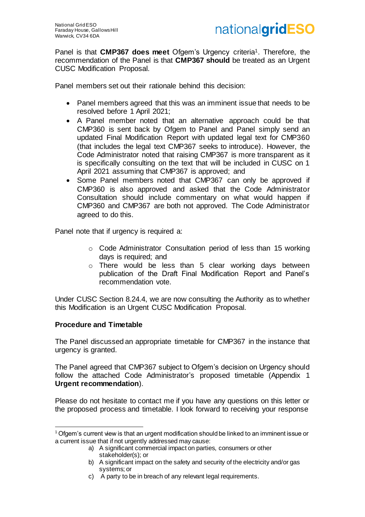

Panel is that **CMP367 does meet** Ofgem's Urgency criteria1. Therefore, the recommendation of the Panel is that **CMP367 should** be treated as an Urgent CUSC Modification Proposal.

Panel members set out their rationale behind this decision:

- Panel members agreed that this was an imminent issue that needs to be resolved before 1 April 2021;
- A Panel member noted that an alternative approach could be that CMP360 is sent back by Ofgem to Panel and Panel simply send an updated Final Modification Report with updated legal text for CMP360 (that includes the legal text CMP367 seeks to introduce). However, the Code Administrator noted that raising CMP367 is more transparent as it is specifically consulting on the text that will be included in CUSC on 1 April 2021 assuming that CMP367 is approved; and
- Some Panel members noted that CMP367 can only be approved if CMP360 is also approved and asked that the Code Administrator Consultation should include commentary on what would happen if CMP360 and CMP367 are both not approved. The Code Administrator agreed to do this.

Panel note that if urgency is required a:

- o Code Administrator Consultation period of less than 15 working days is required; and
- o There would be less than 5 clear working days between publication of the Draft Final Modification Report and Panel's recommendation vote.

Under CUSC Section 8.24.4, we are now consulting the Authority as to whether this Modification is an Urgent CUSC Modification Proposal.

#### **Procedure and Timetable**

j

The Panel discussed an appropriate timetable for CMP367 in the instance that urgency is granted.

The Panel agreed that CMP367 subject to Ofgem's decision on Urgency should follow the attached Code Administrator's proposed timetable (Appendix 1 **Urgent recommendation**).

Please do not hesitate to contact me if you have any questions on this letter or the proposed process and timetable. I look forward to receiving your response

<sup>1</sup> Ofgem's current view is that an urgent modification should be linked to an imminent issue or a current issue that if not urgently addressed may cause:

a) A significant commercial impact on parties, consumers or other stakeholder(s); or

b) A significant impact on the safety and security of the electricity and/or gas systems; or

c) A party to be in breach of any relevant legal requirements.